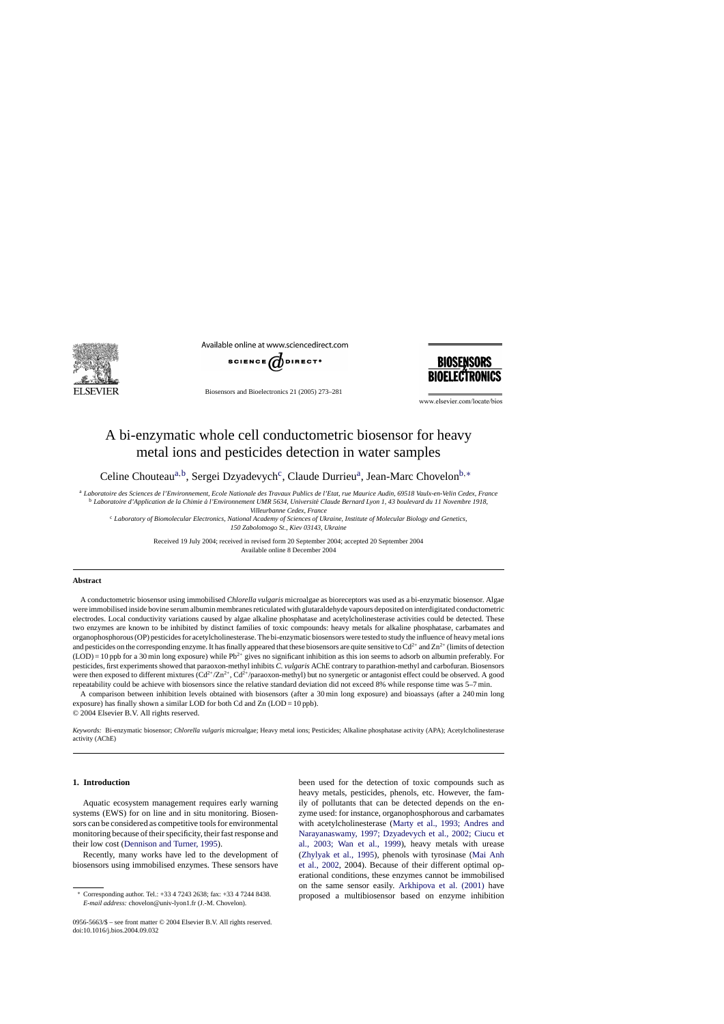

Available online at www.sciencedirect.com



Biosensors and Bioelectronics 21 (2005) 273–281



www.elsevier.com/locate/bios

# A bi-enzymatic whole cell conductometric biosensor for heavy metal ions and pesticides detection in water samples

Celine Chouteau<sup>a,b</sup>, Sergei Dzyadevych<sup>c</sup>, Claude Durrieu<sup>a</sup>, Jean-Marc Chovelon<sup>b,\*</sup>

<sup>a</sup> *Laboratoire des Sciences de l'Environnement, Ecole Nationale des Travaux Publics de l'Etat, rue Maurice Audin, 69518 Vaulx-en-Velin Cedex, France*

<sup>b</sup> Laboratoire d'Application de la Chimie à l'Environnement UMR 5634, Université Claude Bernard Lyon 1, 43 boulevard du 11 Novembre 1918,

*Villeurbanne Cedex, France*

<sup>c</sup> *Laboratory of Biomolecular Electronics, National Academy of Sciences of Ukraine, Institute of Molecular Biology and Genetics, 150 Zabolotnogo St., Kiev 03143, Ukraine*

> Received 19 July 2004; received in revised form 20 September 2004; accepted 20 September 2004 Available online 8 December 2004

# **Abstract**

A conductometric biosensor using immobilised *Chlorella vulgaris* microalgae as bioreceptors was used as a bi-enzymatic biosensor. Algae were immobilised inside bovine serum albumin membranes reticulated with glutaraldehyde vapours deposited on interdigitated conductometric electrodes. Local conductivity variations caused by algae alkaline phosphatase and acetylcholinesterase activities could be detected. These two enzymes are known to be inhibited by distinct families of toxic compounds: heavy metals for alkaline phosphatase, carbamates and organophosphorous (OP) pesticides for acetylcholinesterase. The bi-enzymatic biosensors were tested to study the influence of heavy metal ions and pesticides on the corresponding enzyme. It has finally appeared that these biosensors are quite sensitive to  $Cd^{2+}$  and  $Zn^{2+}$  (limits of detection  $(LOD) = 10$  ppb for a 30 min long exposure) while Pb<sup>2+</sup> gives no significant inhibition as this ion seems to adsorb on albumin preferably. For pesticides, first experiments showed that paraoxon-methyl inhibits *C. vulgaris* AChE contrary to parathion-methyl and carbofuran. Biosensors were then exposed to different mixtures  $(Cd^2/Zn^2 + Cd^2$  paraoxon-methyl) but no synergetic or antagonist effect could be observed. A good repeatability could be achieve with biosensors since the relative standard deviation did not exceed 8% while response time was 5–7 min.

A comparison between inhibition levels obtained with biosensors (after a 30 min long exposure) and bioassays (after a 240 min long exposure) has finally shown a similar LOD for both Cd and  $Zn$  (LOD = 10 ppb).

© 2004 Elsevier B.V. All rights reserved.

*Keywords:* Bi-enzymatic biosensor; *Chlorella vulgaris* microalgae; Heavy metal ions; Pesticides; Alkaline phosphatase activity (APA); Acetylcholinesterase activity (AChE)

# **1. Introduction**

Aquatic ecosystem management requires early warning systems (EWS) for on line and in situ monitoring. Biosensors can be considered as competitive tools for environmental monitoring because of their specificity, their fast response and their low cost [\(Dennison and Turner, 1995\).](#page-8-0)

Recently, many works have led to the development of biosensors using immobilised enzymes. These sensors have

been used for the detection of toxic compounds such as heavy metals, pesticides, phenols, etc. However, the family of pollutants that can be detected depends on the enzyme used: for instance, organophosphorous and carbamates with acetylcholinesterase ([Marty et al., 1993; Andres and](#page-8-0) [Narayanaswamy, 1997; Dzyadevych et al., 2002; Ciucu et](#page-8-0) [al., 2003; Wan et al., 199](#page-8-0)9), heavy metals with urease ([Zhylyak et al., 1995\)](#page-8-0), phenols with tyrosinase ([Mai Anh](#page-8-0) [et al., 2002,](#page-8-0) 2004). Because of their different optimal operational conditions, these enzymes cannot be immobilised on the same sensor easily. [Arkhipova et al. \(2001\)](#page-8-0) have proposed a multibiosensor based on enzyme inhibition

<sup>∗</sup> Corresponding author. Tel.: +33 4 7243 2638; fax: +33 4 7244 8438. *E-mail address:* chovelon@univ-lyon1.fr (J.-M. Chovelon).

<sup>0956-5663/\$ –</sup> see front matter © 2004 Elsevier B.V. All rights reserved. doi:10.1016/j.bios.2004.09.032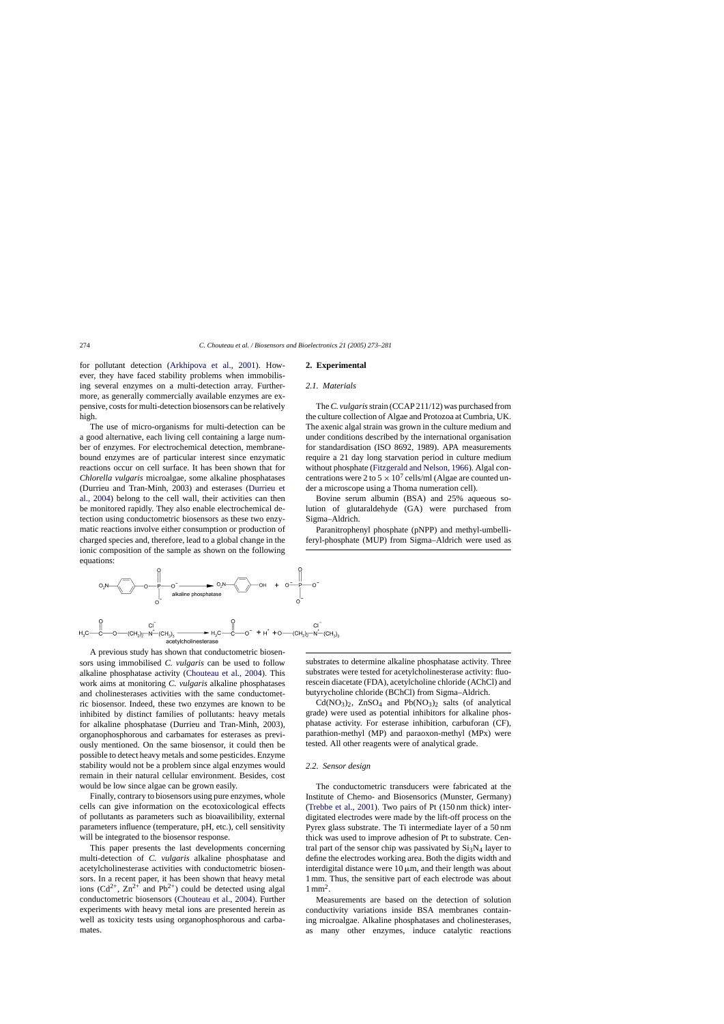for pollutant detection ([Arkhipova et al., 200](#page-8-0)1). However, they have faced stability problems when immobilising several enzymes on a multi-detection array. Furthermore, as generally commercially available enzymes are expensive, costs for multi-detection biosensors can be relatively high.

The use of micro-organisms for multi-detection can be a good alternative, each living cell containing a large number of enzymes. For electrochemical detection, membranebound enzymes are of particular interest since enzymatic reactions occur on cell surface. It has been shown that for *Chlorella vulgaris* microalgae, some alkaline phosphatases (Durrieu and Tran-Minh, 2003) and esterases [\(Durrieu et](#page-8-0) [al., 2004\)](#page-8-0) belong to the cell wall, their activities can then be monitored rapidly. They also enable electrochemical detection using conductometric biosensors as these two enzymatic reactions involve either consumption or production of charged species and, therefore, lead to a global change in the ionic composition of the sample as shown on the following equations:

# **2. Experimental**

## *2.1. Materials*

The*C. vulgaris*strain (CCAP 211/12) was purchased from the culture collection of Algae and Protozoa at Cumbria, UK. The axenic algal strain was grown in the culture medium and under conditions described by the international organisation for standardisation (ISO 8692, 1989). APA measurements require a 21 day long starvation period in culture medium without phosphate ([Fitzgerald and Nelson, 1966\).](#page-8-0) Algal concentrations were 2 to  $5 \times 10^7$  cells/ml (Algae are counted under a microscope using a Thoma numeration cell).

Bovine serum albumin (BSA) and 25% aqueous solution of glutaraldehyde (GA) were purchased from Sigma–Aldrich.

Paranitrophenyl phosphate (pNPP) and methyl-umbelliferyl-phosphate (MUP) from Sigma–Aldrich were used as



A previous study has shown that conductometric biosensors using immobilised *C. vulgaris* can be used to follow alkaline phosphatase activity ([Chouteau et al., 2004\)](#page-8-0). This work aims at monitoring *C. vulgaris* alkaline phosphatases and cholinesterases activities with the same conductometric biosensor. Indeed, these two enzymes are known to be inhibited by distinct families of pollutants: heavy metals for alkaline phosphatase (Durrieu and Tran-Minh, 2003), organophosphorous and carbamates for esterases as previously mentioned. On the same biosensor, it could then be possible to detect heavy metals and some pesticides. Enzyme stability would not be a problem since algal enzymes would remain in their natural cellular environment. Besides, cost would be low since algae can be grown easily.

Finally, contrary to biosensors using pure enzymes, whole cells can give information on the ecotoxicological effects of pollutants as parameters such as bioavailibility, external parameters influence (temperature, pH, etc.), cell sensitivity will be integrated to the biosensor response.

This paper presents the last developments concerning multi-detection of *C. vulgaris* alkaline phosphatase and acetylcholinesterase activities with conductometric biosensors. In a recent paper, it has been shown that heavy metal ions  $(Cd^{2+}, Zn^{2+}$  and Pb<sup>2+</sup>) could be detected using algal conductometric biosensors [\(Chouteau et al., 2004\)](#page-8-0). Further experiments with heavy metal ions are presented herein as well as toxicity tests using organophosphorous and carbamates.

substrates to determine alkaline phosphatase activity. Three substrates were tested for acetylcholinesterase activity: fluorescein diacetate (FDA), acetylcholine chloride (AChCl) and butyrycholine chloride (BChCl) from Sigma–Aldrich.

 $Cd(NO<sub>3</sub>)<sub>2</sub>$ ,  $ZnSO<sub>4</sub>$  and  $Pb(NO<sub>3</sub>)<sub>2</sub>$  salts (of analytical grade) were used as potential inhibitors for alkaline phosphatase activity. For esterase inhibition, carbuforan (CF), parathion-methyl (MP) and paraoxon-methyl (MPx) were tested. All other reagents were of analytical grade.

# *2.2. Sensor design*

The conductometric transducers were fabricated at the Institute of Chemo- and Biosensorics (Munster, Germany) [\(Trebbe et al., 2001\)](#page-8-0). Two pairs of Pt (150 nm thick) interdigitated electrodes were made by the lift-off process on the Pyrex glass substrate. The Ti intermediate layer of a 50 nm thick was used to improve adhesion of Pt to substrate. Central part of the sensor chip was passivated by  $Si<sub>3</sub>N<sub>4</sub>$  layer to define the electrodes working area. Both the digits width and interdigital distance were  $10 \mu m$ , and their length was about 1 mm. Thus, the sensitive part of each electrode was about  $1 \text{ mm}^2$ .

Measurements are based on the detection of solution conductivity variations inside BSA membranes containing microalgae. Alkaline phosphatases and cholinesterases, as many other enzymes, induce catalytic reactions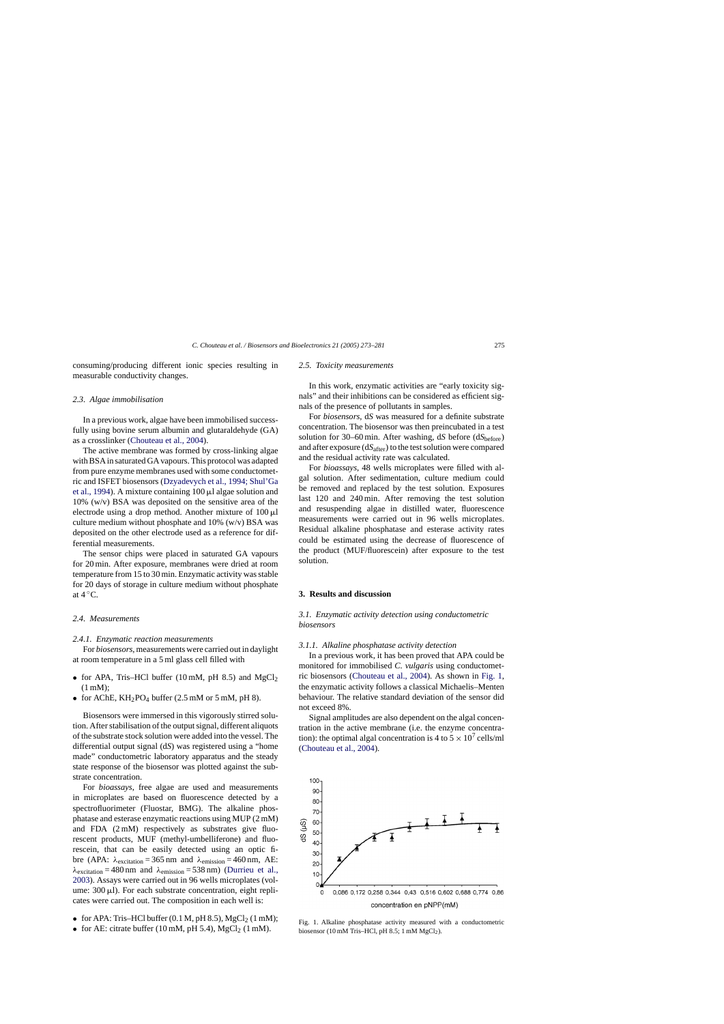consuming/producing different ionic species resulting in measurable conductivity changes.

## *2.3. Algae immobilisation*

In a previous work, algae have been immobilised successfully using bovine serum albumin and glutaraldehyde (GA) as a crosslinker ([Chouteau et al., 2004\).](#page-8-0)

The active membrane was formed by cross-linking algae with BSA in saturated GA vapours. This protocol was adapted from pure enzyme membranes used with some conductometric and ISFET biosensors [\(Dzyadevych et al., 1994; Shul'Ga](#page-8-0) [et al., 1994\).](#page-8-0) A mixture containing  $100 \mu l$  algae solution and 10% (w/v) BSA was deposited on the sensitive area of the electrode using a drop method. Another mixture of  $100 \mu$ l culture medium without phosphate and  $10\%$  (w/v) BSA was deposited on the other electrode used as a reference for differential measurements.

The sensor chips were placed in saturated GA vapours for 20 min. After exposure, membranes were dried at room temperature from 15 to 30 min. Enzymatic activity was stable for 20 days of storage in culture medium without phosphate at  $4^{\circ}$ C.

## *2.4. Measurements*

#### *2.4.1. Enzymatic reaction measurements*

For *biosensors*, measurements were carried out in daylight at room temperature in a 5 ml glass cell filled with

- for APA, Tris–HCl buffer (10 mM, pH 8.5) and  $MgCl<sub>2</sub>$ (1 mM);
- for AChE,  $KH_2PO_4$  buffer (2.5 mM or 5 mM, pH 8).

Biosensors were immersed in this vigorously stirred solution. After stabilisation of the output signal, different aliquots of the substrate stock solution were added into the vessel. The differential output signal (d*S*) was registered using a "home made" conductometric laboratory apparatus and the steady state response of the biosensor was plotted against the substrate concentration.

For *bioassays*, free algae are used and measurements in microplates are based on fluorescence detected by a spectrofluorimeter (Fluostar, BMG). The alkaline phosphatase and esterase enzymatic reactions using MUP (2 mM) and FDA (2 mM) respectively as substrates give fluorescent products, MUF (methyl-umbelliferone) and fluorescein, that can be easily detected using an optic fibre (APA:  $\lambda_{excitation} = 365$  nm and  $\lambda_{emission} = 460$  nm, AE:  $\lambda_{excitation} = 480$  nm and  $\lambda_{emission} = 538$  nm) [\(Durrieu et al.,](#page-8-0) [2003\).](#page-8-0) Assays were carried out in 96 wells microplates (volume:  $300 \mu$ . For each substrate concentration, eight replicates were carried out. The composition in each well is:

- for APA: Tris–HCl buffer  $(0.1 M, pH 8.5)$ , MgCl<sub>2</sub>  $(1 mM)$ ;
- for AE: citrate buffer (10 mM, pH 5.4),  $MgCl<sub>2</sub>$  (1 mM).

# *2.5. Toxicity measurements*

In this work, enzymatic activities are "early toxicity signals" and their inhibitions can be considered as efficient signals of the presence of pollutants in samples.

For *biosensors*, d*S* was measured for a definite substrate concentration. The biosensor was then preincubated in a test solution for 30–60 min. After washing, d*S* before (d*S*before) and after exposure (dS<sub>after</sub>) to the test solution were compared and the residual activity rate was calculated.

For *bioassays*, 48 wells microplates were filled with algal solution. After sedimentation, culture medium could be removed and replaced by the test solution. Exposures last 120 and 240 min. After removing the test solution and resuspending algae in distilled water, fluorescence measurements were carried out in 96 wells microplates. Residual alkaline phosphatase and esterase activity rates could be estimated using the decrease of fluorescence of the product (MUF/fluorescein) after exposure to the test solution.

# **3. Results and discussion**

*3.1. Enzymatic activity detection using conductometric biosensors*

## *3.1.1. Alkaline phosphatase activity detection*

In a previous work, it has been proved that APA could be monitored for immobilised *C. vulgaris* using conductometric biosensors ([Chouteau et al., 2004\)](#page-8-0). As shown in Fig. 1, the enzymatic activity follows a classical Michaelis–Menten behaviour. The relative standard deviation of the sensor did not exceed 8%.

Signal amplitudes are also dependent on the algal concentration in the active membrane (i.e. the enzyme concentration): the optimal algal concentration is 4 to  $5 \times 10^7$  cells/ml ([Chouteau et al., 2004\).](#page-8-0)



Fig. 1. Alkaline phosphatase activity measured with a conductometric biosensor (10 mM Tris–HCl, pH 8.5; 1 mM  $MgCl<sub>2</sub>$ ).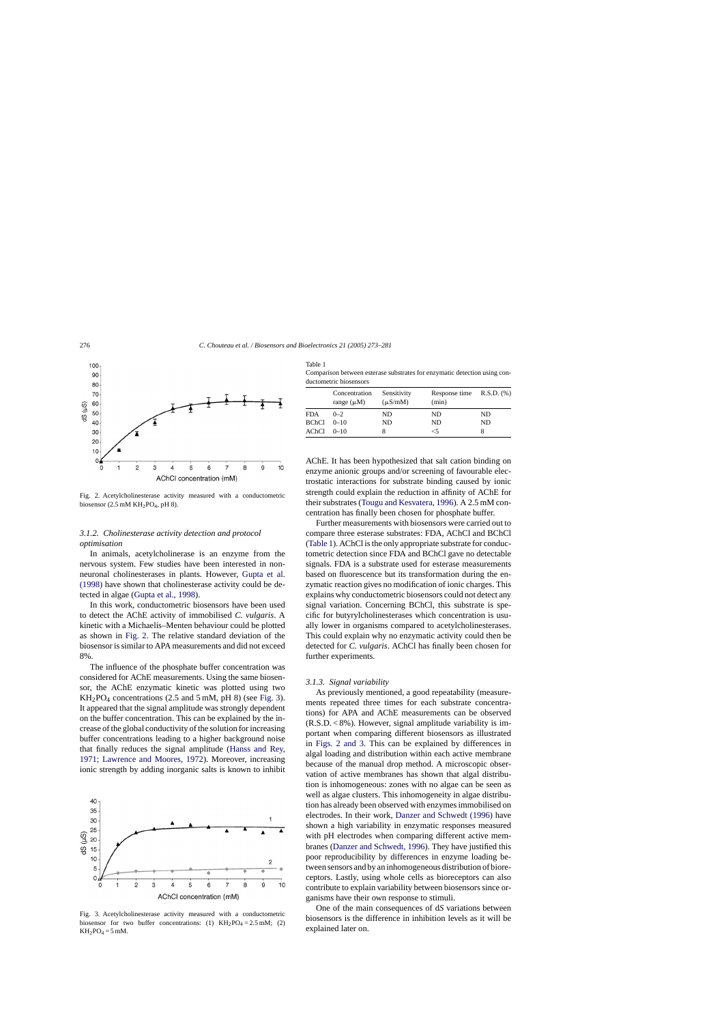

Fig. 2. Acetylcholinesterase activity measured with a conductometric biosensor (2.5 mM  $KH_2PO_4$ , pH 8).

# *3.1.2. Cholinesterase activity detection and protocol optimisation*

In animals, acetylcholinerase is an enzyme from the nervous system. Few studies have been interested in nonneuronal cholinesterases in plants. However, [Gupta et al.](#page-8-0) [\(1998\)](#page-8-0) have shown that cholinesterase activity could be detected in algae [\(Gupta et al., 1998\).](#page-8-0)

In this work, conductometric biosensors have been used to detect the AChE activity of immobilised *C. vulgaris*. A kinetic with a Michaelis–Menten behaviour could be plotted as shown in Fig. 2. The relative standard deviation of the biosensor is similar to APA measurements and did not exceed 8%.

The influence of the phosphate buffer concentration was considered for AChE measurements. Using the same biosensor, the AChE enzymatic kinetic was plotted using two  $KH<sub>2</sub>PO<sub>4</sub> concentrations (2.5 and 5 mM, pH 8) (see Fig. 3).$ It appeared that the signal amplitude was strongly dependent on the buffer concentration. This can be explained by the increase of the global conductivity of the solution for increasing buffer concentrations leading to a higher background noise that finally reduces the signal amplitude [\(Hanss and Rey,](#page-8-0) [1971; Lawrence and Moores, 1972\)](#page-8-0). Moreover, increasing ionic strength by adding inorganic salts is known to inhibit



Fig. 3. Acetylcholinesterase activity measured with a conductometric biosensor for two buffer concentrations: (1)  $KH_2PO_4 = 2.5$  mM; (2)  $KH_2PO_4 = 5$  mM.

| าเ<br>аΓ |  |
|----------|--|
|          |  |

Comparison between esterase substrates for enzymatic detection using conductometric biosensors

|       | Concentration<br>range $(\mu M)$ | Sensitivity<br>$(\mu S/mM)$ | Response time $R.S.D.$ (%)<br>(min) |           |
|-------|----------------------------------|-----------------------------|-------------------------------------|-----------|
| FDA   | $0 - 2$                          | ND.                         | ND                                  | ND        |
| BChCl | $0 - 10$                         | <b>ND</b>                   | ND.                                 | <b>ND</b> |
| AChCl | $0-10$                           | 8                           | <5                                  |           |

AChE. It has been hypothesized that salt cation binding on enzyme anionic groups and/or screening of favourable electrostatic interactions for substrate binding caused by ionic strength could explain the reduction in affinity of AChE for their substrates ([Tougu and Kesvatera, 1996\).](#page-8-0) A 2.5 mM concentration has finally been chosen for phosphate buffer.

Further measurements with biosensors were carried out to compare three esterase substrates: FDA, AChCl and BChCl (Table 1). AChCl is the only appropriate substrate for conductometric detection since FDA and BChCl gave no detectable signals. FDA is a substrate used for esterase measurements based on fluorescence but its transformation during the enzymatic reaction gives no modification of ionic charges. This explains why conductometric biosensors could not detect any signal variation. Concerning BChCl, this substrate is specific for butyrylcholinesterases which concentration is usually lower in organisms compared to acetylcholinesterases. This could explain why no enzymatic activity could then be detected for *C. vulgaris*. AChCl has finally been chosen for further experiments.

#### *3.1.3. Signal variability*

As previously mentioned, a good repeatability (measurements repeated three times for each substrate concentrations) for APA and AChE measurements can be observed (R.S.D. < 8%). However, signal amplitude variability is important when comparing different biosensors as illustrated in Figs. 2 and 3. This can be explained by differences in algal loading and distribution within each active membrane because of the manual drop method. A microscopic observation of active membranes has shown that algal distribution is inhomogeneous: zones with no algae can be seen as well as algae clusters. This inhomogeneity in algae distribution has already been observed with enzymes immobilised on electrodes. In their work, [Danzer and Schwedt \(1996\)](#page-8-0) have shown a high variability in enzymatic responses measured with pH electrodes when comparing different active membranes [\(Danzer and Schwedt, 1996\).](#page-8-0) They have justified this poor reproducibility by differences in enzyme loading between sensors and by an inhomogeneous distribution of bioreceptors. Lastly, using whole cells as bioreceptors can also contribute to explain variability between biosensors since organisms have their own response to stimuli.

One of the main consequences of d*S* variations between biosensors is the difference in inhibition levels as it will be explained later on.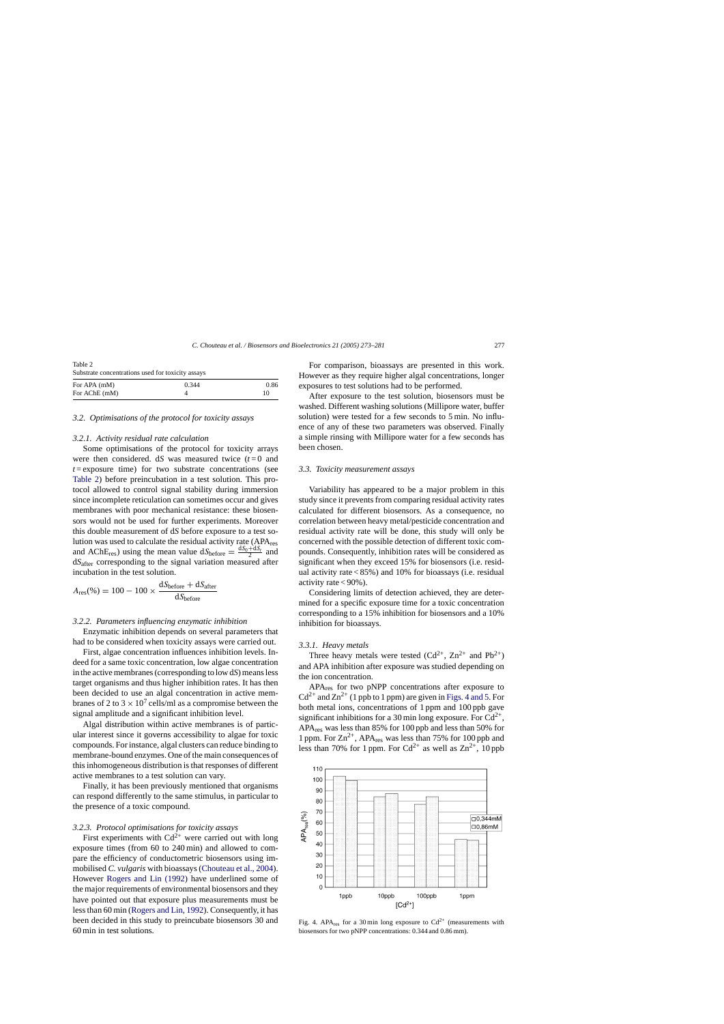<span id="page-4-0"></span>

| Table 2<br>Substrate concentrations used for toxicity assays |  |    |  |
|--------------------------------------------------------------|--|----|--|
|                                                              |  |    |  |
| For AChE (mM)                                                |  | 10 |  |

## *3.2. Optimisations of the protocol for toxicity assays*

## *3.2.1. Activity residual rate calculation*

Some optimisations of the protocol for toxicity arrays were then considered.  $dS$  was measured twice  $(t=0)$  and  $t =$ exposure time) for two substrate concentrations (see Table 2) before preincubation in a test solution. This protocol allowed to control signal stability during immersion since incomplete reticulation can sometimes occur and gives membranes with poor mechanical resistance: these biosensors would not be used for further experiments. Moreover this double measurement of d*S* before exposure to a test solution was used to calculate the residual activity rate (APAres and AChE<sub>res</sub>) using the mean value  $dS_{before} = \frac{dS_0 + dS_t}{2}$  and d*S*after corresponding to the signal variation measured after incubation in the test solution.

$$
A_{\rm res}(\%) = 100 - 100 \times \frac{\text{d}S_{\text{before}} + \text{d}S_{\text{after}}}{\text{d}S_{\text{before}}}
$$

# *3.2.2. Parameters influencing enzymatic inhibition*

Enzymatic inhibition depends on several parameters that had to be considered when toxicity assays were carried out.

First, algae concentration influences inhibition levels. Indeed for a same toxic concentration, low algae concentration in the active membranes (corresponding to low d*S*) means less target organisms and thus higher inhibition rates. It has then been decided to use an algal concentration in active membranes of 2 to  $3 \times 10^7$  cells/ml as a compromise between the signal amplitude and a significant inhibition level.

Algal distribution within active membranes is of particular interest since it governs accessibility to algae for toxic compounds. For instance, algal clusters can reduce binding to membrane-bound enzymes. One of the main consequences of this inhomogeneous distribution is that responses of different active membranes to a test solution can vary.

Finally, it has been previously mentioned that organisms can respond differently to the same stimulus, in particular to the presence of a toxic compound.

## *3.2.3. Protocol optimisations for toxicity assays*

First experiments with  $Cd^{2+}$  were carried out with long exposure times (from 60 to 240 min) and allowed to compare the efficiency of conductometric biosensors using immobilised *C. vulgaris* with bioassays ([Chouteau et al., 2004\).](#page-8-0) However [Rogers and Lin \(1992\)](#page-8-0) have underlined some of the major requirements of environmental biosensors and they have pointed out that exposure plus measurements must be less than 60 min ([Rogers and Lin, 1992\).](#page-8-0) Consequently, it has been decided in this study to preincubate biosensors 30 and 60 min in test solutions.

For comparison, bioassays are presented in this work. However as they require higher algal concentrations, longer exposures to test solutions had to be performed.

After exposure to the test solution, biosensors must be washed. Different washing solutions (Millipore water, buffer solution) were tested for a few seconds to 5 min. No influence of any of these two parameters was observed. Finally a simple rinsing with Millipore water for a few seconds has been chosen.

## *3.3. Toxicity measurement assays*

Variability has appeared to be a major problem in this study since it prevents from comparing residual activity rates calculated for different biosensors. As a consequence, no correlation between heavy metal/pesticide concentration and residual activity rate will be done, this study will only be concerned with the possible detection of different toxic compounds. Consequently, inhibition rates will be considered as significant when they exceed 15% for biosensors (i.e. residual activity rate < 85%) and 10% for bioassays (i.e. residual activity rate  $< 90\%$ ).

Considering limits of detection achieved, they are determined for a specific exposure time for a toxic concentration corresponding to a 15% inhibition for biosensors and a 10% inhibition for bioassays.

## *3.3.1. Heavy metals*

Three heavy metals were tested  $(Cd^{2+}$ ,  $Zn^{2+}$  and  $Pb^{2+}$ ) and APA inhibition after exposure was studied depending on the ion concentration.

APAres for two pNPP concentrations after exposure to  $Cd^{2+}$  and  $Zn^{2+}$  (1 ppb to 1 ppm) are given in Figs. 4 and 5. For both metal ions, concentrations of 1 ppm and 100 ppb gave significant inhibitions for a 30 min long exposure. For  $Cd^{2+}$ , APAres was less than 85% for 100 ppb and less than 50% for 1 ppm. For  $\text{Zn}^{2+}$ , APA<sub>res</sub> was less than 75% for 100 ppb and less than 70% for 1 ppm. For  $Cd^{2+}$  as well as  $Zn^{2+}$ , 10 ppb

110 100 90 80 70 APA<sub>res</sub>(%)  $\Box 0,344$ mM 60  $\Box$ 0,86mM 50 40 30  $20$  $10$  $\Omega$ 1ppb 10ppb 100ppb 1ppm  $[Cd<sup>2+</sup>]$ 

Fig. 4. APA<sub>res</sub> for a 30 min long exposure to  $Cd^{2+}$  (measurements with biosensors for two pNPP concentrations: 0.344 and 0.86 mm).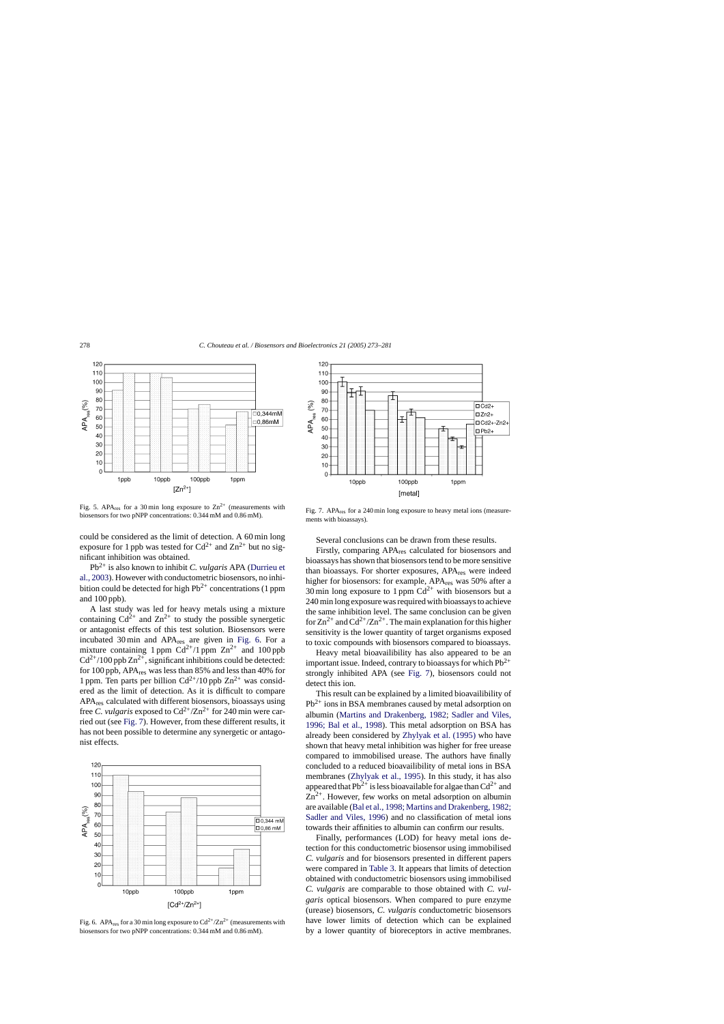

Fig. 5. APA<sub>res</sub> for a 30 min long exposure to  $\text{Zn}^{2+}$  (measurements with biosensors for two pNPP concentrations: 0.344 mM and 0.86 mM).

could be considered as the limit of detection. A 60 min long exposure for 1 ppb was tested for  $Cd^{2+}$  and  $Zn^{2+}$  but no significant inhibition was obtained.

Pb2+ is also known to inhibit *C. vulgaris* APA [\(Durrieu et](#page-8-0) [al., 2003\).](#page-8-0) However with conductometric biosensors, no inhibition could be detected for high  $Pb^{2+}$  concentrations (1 ppm and 100 ppb).

A last study was led for heavy metals using a mixture containing  $Cd^{2+}$  and  $Zn^{2+}$  to study the possible synergetic or antagonist effects of this test solution. Biosensors were incubated 30 min and APA<sub>res</sub> are given in Fig. 6. For a mixture containing 1 ppm  $Cd^{2+}/1$  ppm  $Zn^{2+}$  and 100 ppb  $Cd^{2+}/100$  ppb  $Zn^{2+}$ , significant inhibitions could be detected: for 100 ppb, APAres was less than 85% and less than 40% for 1 ppm. Ten parts per billion  $Cd^{2+}/10$  ppb  $Zn^{2+}$  was considered as the limit of detection. As it is difficult to compare APAres calculated with different biosensors, bioassays using free *C. vulgaris* exposed to  $Cd^{2+}/Zn^{2+}$  for 240 min were carried out (see Fig. 7). However, from these different results, it has not been possible to determine any synergetic or antagonist effects.



Fig. 6. APA<sub>res</sub> for a 30 min long exposure to  $Cd^{2+}/Zn^{2+}$  (measurements with biosensors for two pNPP concentrations: 0.344 mM and 0.86 mM).



Fig. 7. APA<sub>res</sub> for a 240 min long exposure to heavy metal ions (measurements with bioassays).

Several conclusions can be drawn from these results.

Firstly, comparing APAres calculated for biosensors and bioassays has shown that biosensors tend to be more sensitive than bioassays. For shorter exposures, APA<sub>res</sub> were indeed higher for biosensors: for example, APA<sub>res</sub> was 50% after a 30 min long exposure to 1 ppm  $Cd^{2+}$  with biosensors but a 240 min long exposure was required with bioassays to achieve the same inhibition level. The same conclusion can be given for  $\text{Zn}^{2+}$  and  $\text{Cd}^{2+}/\text{Zn}^{2+}$ . The main explanation for this higher sensitivity is the lower quantity of target organisms exposed to toxic compounds with biosensors compared to bioassays.

Heavy metal bioavailibility has also appeared to be an important issue. Indeed, contrary to bioassays for which  $Pb^{2+}$ strongly inhibited APA (see Fig. 7), biosensors could not detect this ion.

This result can be explained by a limited bioavailibility of  $Pb^{2+}$  ions in BSA membranes caused by metal adsorption on albumin ([Martins and Drakenberg, 1982;](#page-8-0) [Sadler and Viles,](#page-8-0) [1996; Bal et al., 1998\)](#page-8-0). This metal adsorption on BSA has already been considered by [Zhylyak et al. \(1995\)](#page-8-0) who have shown that heavy metal inhibition was higher for free urease compared to immobilised urease. The authors have finally concluded to a reduced bioavailibility of metal ions in BSA membranes [\(Zhylyak et al., 1995\)](#page-8-0). In this study, it has also appeared that Pb<sup>2+</sup> is less bioavailable for algae than  $Cd^{2+}$  and  $Zn^{2+}$ . However, few works on metal adsorption on albumin are available [\(Bal et al., 1998; Martins and Drakenberg, 1982;](#page-8-0) [Sadler and Viles, 1996\)](#page-8-0) and no classification of metal ions towards their affinities to albumin can confirm our results.

Finally, performances (LOD) for heavy metal ions detection for this conductometric biosensor using immobilised *C. vulgaris* and for biosensors presented in different papers were compared in [Table 3. I](#page-6-0)t appears that limits of detection obtained with conductometric biosensors using immobilised *C. vulgaris* are comparable to those obtained with *C. vulgaris* optical biosensors. When compared to pure enzyme (urease) biosensors, *C. vulgaris* conductometric biosensors have lower limits of detection which can be explained by a lower quantity of bioreceptors in active membranes.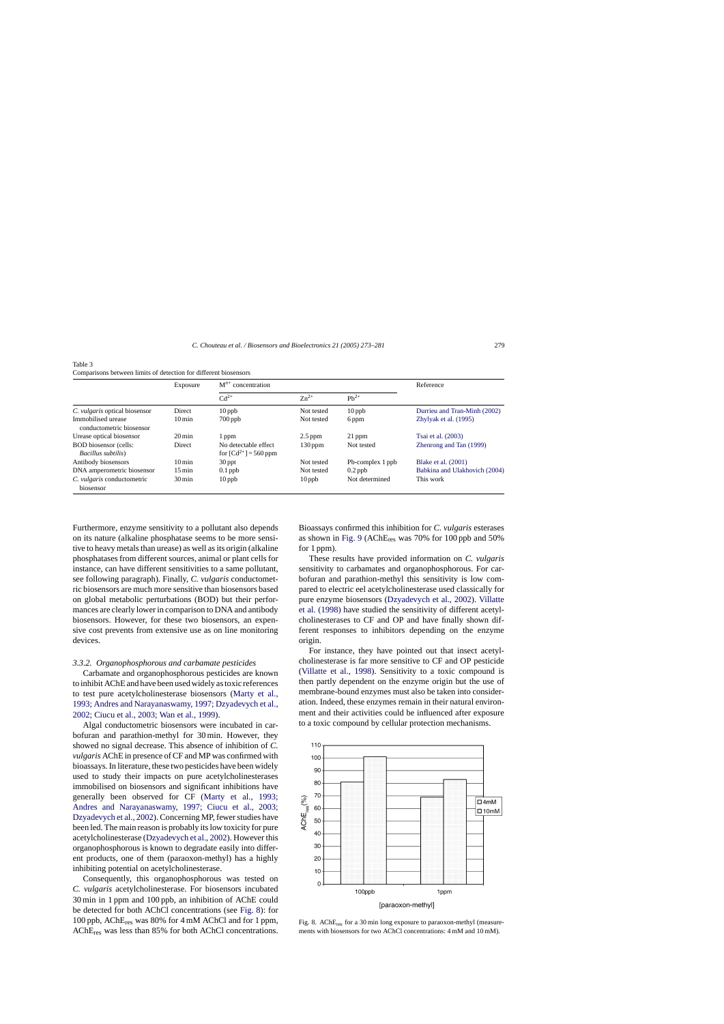<span id="page-6-0"></span>

| Table 3                                                          |  |  |  |
|------------------------------------------------------------------|--|--|--|
| Comparisons between limits of detection for different biosensors |  |  |  |

|                                                    | Exposure            | $M^{n+}$ concentration                            |            |                  | Reference                     |
|----------------------------------------------------|---------------------|---------------------------------------------------|------------|------------------|-------------------------------|
|                                                    |                     | $Cd^{2+}$                                         | $Zn^{2+}$  | $Pb^{2+}$        |                               |
| C. <i>vulgaris</i> optical biosensor               | Direct              | $10$ ppb                                          | Not tested | $10$ ppb         | Durrieu and Tran-Minh (2002)  |
| Immobilised urease<br>conductometric biosensor     | $10 \,\mathrm{min}$ | $700$ ppb                                         | Not tested | 6 ppm            | Zhylyak et al. (1995)         |
| Urease optical biosensor                           | $20 \,\mathrm{min}$ | 1 ppm                                             | $2.5$ ppm  | $21$ ppm         | Tsai et al. (2003)            |
| <b>BOD</b> biosensor (cells:<br>Bacillus subtilis) | Direct              | No detectable effect<br>for $[Cd^{2+}] = 560$ ppm | $130$ ppm  | Not tested       | Zhenrong and Tan (1999)       |
| Antibody biosensors                                | $10 \,\mathrm{min}$ | $30$ ppt                                          | Not tested | Pb-complex 1 ppb | <b>Blake et al.</b> (2001)    |
| DNA amperometric biosensor                         | $15 \,\mathrm{min}$ | $0.1$ ppb                                         | Not tested | $0.2$ ppb        | Babkina and Ulakhovich (2004) |
| C. <i>vulgaris</i> conductometric<br>biosensor     | $30 \,\mathrm{min}$ | $10$ ppb                                          | $10$ ppb   | Not determined   | This work                     |

Furthermore, enzyme sensitivity to a pollutant also depends on its nature (alkaline phosphatase seems to be more sensitive to heavy metals than urease) as well as its origin (alkaline phosphatases from different sources, animal or plant cells for instance, can have different sensitivities to a same pollutant, see following paragraph). Finally, *C. vulgaris* conductometric biosensors are much more sensitive than biosensors based on global metabolic perturbations (BOD) but their performances are clearly lower in comparison to DNA and antibody biosensors. However, for these two biosensors, an expensive cost prevents from extensive use as on line monitoring devices.

## *3.3.2. Organophosphorous and carbamate pesticides*

Carbamate and organophosphorous pesticides are known to inhibit AChE and have been used widely as toxic references to test pure acetylcholinesterase biosensors [\(Marty et al.,](#page-8-0) [1993; Andres and Narayanaswamy, 1997; Dzyadevych et al.,](#page-8-0) [2002; Ciucu et al., 2003; Wan et al., 1999\).](#page-8-0)

Algal conductometric biosensors were incubated in carbofuran and parathion-methyl for 30 min. However, they showed no signal decrease. This absence of inhibition of *C. vulgaris* AChE in presence of CF and MP was confirmed with bioassays. In literature, these two pesticides have been widely used to study their impacts on pure acetylcholinesterases immobilised on biosensors and significant inhibitions have generally been observed for CF [\(Marty et al., 1993](#page-8-0); [Andres and Narayanaswamy, 1997; Ciucu et al., 2003;](#page-8-0) [Dzyadevych et al., 2002\).](#page-8-0) Concerning MP, fewer studies have been led. The main reason is probably its low toxicity for pure acetylcholinesterase ([Dzyadevych et al., 2002\).](#page-8-0) However this organophosphorous is known to degradate easily into different products, one of them (paraoxon-methyl) has a highly inhibiting potential on acetylcholinesterase.

Consequently, this organophosphorous was tested on *C. vulgaris* acetylcholinesterase. For biosensors incubated 30 min in 1 ppm and 100 ppb, an inhibition of AChE could be detected for both AChCl concentrations (see Fig. 8): for 100 ppb, AChEres was 80% for 4 mM AChCl and for 1 ppm, AChEres was less than 85% for both AChCl concentrations.

Bioassays confirmed this inhibition for *C. vulgaris* esterases as shown in [Fig. 9](#page-7-0) (AChEres was 70% for 100 ppb and 50% for 1 ppm).

These results have provided information on *C. vulgaris* sensitivity to carbamates and organophosphorous. For carbofuran and parathion-methyl this sensitivity is low compared to electric eel acetylcholinesterase used classically for pure enzyme biosensors ([Dzyadevych et al., 2002\).](#page-8-0) [Villatte](#page-8-0) [et al. \(1998\)](#page-8-0) have studied the sensitivity of different acetylcholinesterases to CF and OP and have finally shown different responses to inhibitors depending on the enzyme origin.

For instance, they have pointed out that insect acetylcholinesterase is far more sensitive to CF and OP pesticide ([Villatte et al., 1998](#page-8-0)). Sensitivity to a toxic compound is then partly dependent on the enzyme origin but the use of membrane-bound enzymes must also be taken into consideration. Indeed, these enzymes remain in their natural environment and their activities could be influenced after exposure to a toxic compound by cellular protection mechanisms.



Fig. 8. AChEres for a 30 min long exposure to paraoxon-methyl (measurements with biosensors for two AChCl concentrations: 4 mM and 10 mM).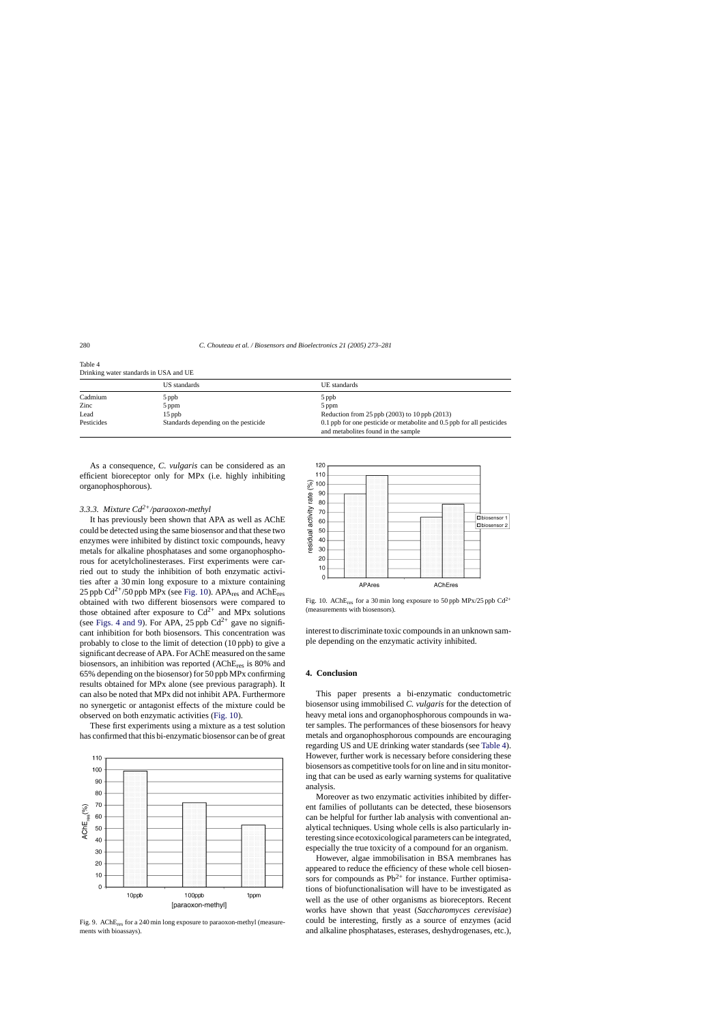|            | US standards                         | UE standards                                                                                                       |  |
|------------|--------------------------------------|--------------------------------------------------------------------------------------------------------------------|--|
| Cadmium    | 5 ppb                                | 5 ppb                                                                                                              |  |
| Zinc       | 5 ppm                                | 5 ppm                                                                                                              |  |
| Lead       | $15$ ppb                             | Reduction from 25 ppb $(2003)$ to 10 ppb $(2013)$                                                                  |  |
| Pesticides | Standards depending on the pesticide | $0.1$ ppb for one pesticide or metabolite and $0.5$ ppb for all pesticides<br>and metabolities found in the sample |  |

<span id="page-7-0"></span>Table 4 Drinking water standards in USA and UE

As a consequence, *C. vulgaris* can be considered as an efficient bioreceptor only for MPx (i.e. highly inhibiting organophosphorous).

# *3.3.3. Mixture Cd2+/paraoxon-methyl*

It has previously been shown that APA as well as AChE could be detected using the same biosensor and that these two enzymes were inhibited by distinct toxic compounds, heavy metals for alkaline phosphatases and some organophosphorous for acetylcholinesterases. First experiments were carried out to study the inhibition of both enzymatic activities after a 30 min long exposure to a mixture containing 25 ppb  $Cd^{2+}/50$  ppb MPx (see Fig. 10). APA<sub>res</sub> and AChE<sub>res</sub> obtained with two different biosensors were compared to those obtained after exposure to  $Cd^{2+}$  and MPx solutions (see [Figs. 4 and 9\)](#page-4-0). For APA, 25 ppb  $Cd^{2+}$  gave no significant inhibition for both biosensors. This concentration was probably to close to the limit of detection (10 ppb) to give a significant decrease of APA. For AChE measured on the same biosensors, an inhibition was reported (AChEres is 80% and 65% depending on the biosensor) for 50 ppb MPx confirming results obtained for MPx alone (see previous paragraph). It can also be noted that MPx did not inhibit APA. Furthermore no synergetic or antagonist effects of the mixture could be observed on both enzymatic activities (Fig. 10).

These first experiments using a mixture as a test solution has confirmed that this bi-enzymatic biosensor can be of great



Fig. 9. AChEres for a 240 min long exposure to paraoxon-methyl (measurements with bioassays).



Fig. 10. AChE<sub>res</sub> for a 30 min long exposure to 50 ppb MPx/25 ppb Cd<sup>2+</sup> (measurements with biosensors).

interest to discriminate toxic compounds in an unknown sample depending on the enzymatic activity inhibited.

# **4. Conclusion**

This paper presents a bi-enzymatic conductometric biosensor using immobilised *C. vulgaris* for the detection of heavy metal ions and organophosphorous compounds in water samples. The performances of these biosensors for heavy metals and organophosphorous compounds are encouraging regarding US and UE drinking water standards (see Table 4). However, further work is necessary before considering these biosensors as competitive tools for on line and in situ monitoring that can be used as early warning systems for qualitative analysis.

Moreover as two enzymatic activities inhibited by different families of pollutants can be detected, these biosensors can be helpful for further lab analysis with conventional analytical techniques. Using whole cells is also particularly interesting since ecotoxicological parameters can be integrated, especially the true toxicity of a compound for an organism.

However, algae immobilisation in BSA membranes has appeared to reduce the efficiency of these whole cell biosensors for compounds as  $Pb^{2+}$  for instance. Further optimisations of biofunctionalisation will have to be investigated as well as the use of other organisms as bioreceptors. Recent works have shown that yeast (*Saccharomyces cerevisiae*) could be interesting, firstly as a source of enzymes (acid and alkaline phosphatases, esterases, deshydrogenases, etc.),